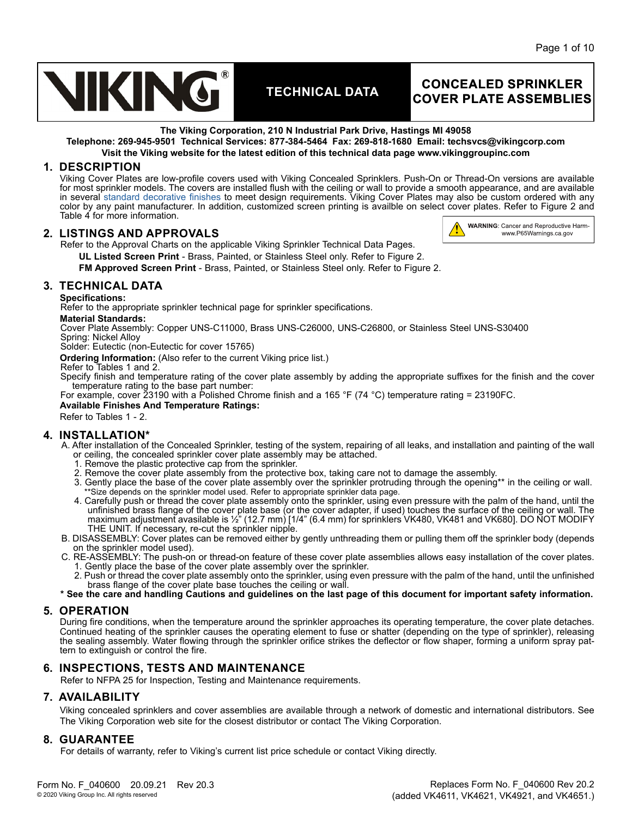

## **CONCEALED SPRINKLER COVER PLATE ASSEMBLIES**

**WARNING: Cancer and Reproductive Harm**www.P65Warnings.ca.gov

Ï

**The Viking Corporation, 210 N Industrial Park Drive, Hastings MI 49058**

**Telephone: 269-945-9501 Technical Services: 877-384-5464 Fax: 269-818-1680 Email: techsvcs@vikingcorp.com Visit the Viking website for the latest edition of this technical data page www.vikinggroupinc.com**

## **1. DESCRIPTION**

Viking Cover Plates are low-profile covers used with Viking Concealed Sprinklers. Push-On or Thread-On versions are available for most sprinkler models. The covers are installed flush with the ceiling or wall to provide a smooth appearance, and are available in several [standard decorative finishes](https://www.vikinggroupinc.com/sites/default/files/documents/Viking%20Plate%20Colors_Web.pdf) to meet design requirements. Viking Cover Plates may also be custom ordered with any color by any paint manufacturer. In addition, customized screen printing is availble on select cover plates. Refer to Figure 2 and Table 4 for more information.

## **2. LISTINGS AND APPROVALS**

Refer to the Approval Charts on the applicable Viking Sprinkler Technical Data Pages.

**UL Listed Screen Print** - Brass, Painted, or Stainless Steel only. Refer to Figure 2.

**FM Approved Screen Print** - Brass, Painted, or Stainless Steel only. Refer to Figure 2.

## **3. TECHNICAL DATA**

**Specifications:**

Refer to the appropriate sprinkler technical page for sprinkler specifications.

#### **Material Standards:**

Cover Plate Assembly: Copper UNS-C11000, Brass UNS-C26000, UNS-C26800, or Stainless Steel UNS-S30400 Spring: Nickel Alloy

Solder: Eutectic (non-Eutectic for cover 15765)

**Ordering Information:** (Also refer to the current [Viking price list.](http://www.vikingcorp.com/pricelist/))

#### Refer to Tables 1 and 2.

Specify finish and temperature rating of the cover plate assembly by adding the appropriate suffixes for the finish and the cover temperature rating to the base part number:

For example, cover 23190 with a Polished Chrome finish and a 165 °F (74 °C) temperature rating = 23190FC.

**Available Finishes And Temperature Ratings:**

Refer to Tables 1 - 2.

## **4. INSTALLATION\***

A. After installation of the Concealed Sprinkler, testing of the system, repairing of all leaks, and installation and painting of the wall or ceiling, the concealed sprinkler cover plate assembly may be attached.

- 1. Remove the plastic protective cap from the sprinkler.
- 2. Remove the cover plate assembly from the protective box, taking care not to damage the assembly.
- 3. Gently place the base of the cover plate assembly over the sprinkler protruding through the opening\*\* in the ceiling or wall.<br>\*\*Size depends on the sprinkler model used. Refer to appropriate sprinkler data page.
- 4. Carefully push or thread the cover plate assembly onto the sprinkler, using even pressure with the palm of the hand, until the unfinished brass flange of the cover plate base (or the cover adapter, if used) touches the surface of the ceiling or wall. The maximum adjustment avasilable is ½" (12.7 mm) [1/4" (6.4 mm) for sprinklers VK480, VK481 and VK680]. DO NOT MODIFY THE UNIT. If necessary, re-cut the sprinkler nipple.
- B. DISASSEMBLY: Cover plates can be removed either by gently unthreading them or pulling them off the sprinkler body (depends on the sprinkler model used).
- C. RE-ASSEMBLY: The push-on or thread-on feature of these cover plate assemblies allows easy installation of the cover plates. 1. Gently place the base of the cover plate assembly over the sprinkler.
	- 2. Push or thread the cover plate assembly onto the sprinkler, using even pressure with the palm of the hand, until the unfinished brass flange of the cover plate base touches the ceiling or wall.
- **\* See the care and handling Cautions and guidelines on the last page of this document for important safety information.**

## **5. OPERATION**

During fire conditions, when the temperature around the sprinkler approaches its operating temperature, the cover plate detaches. Continued heating of the sprinkler causes the operating element to fuse or shatter (depending on the type of sprinkler), releasing the sealing assembly. Water flowing through the sprinkler orifice strikes the deflector or flow shaper, forming a uniform spray pattern to extinguish or control the fire.

## **6. INSPECTIONS, TESTS AND MAINTENANCE**

Refer to NFPA 25 for Inspection, Testing and Maintenance requirements.

## **7. AVAILABILITY**

Viking concealed sprinklers and cover assemblies are available through a network of domestic and international distributors. See The Viking Corporation web site for the closest distributor or contact The Viking Corporation.

## **8. GUARANTEE**

For details of warranty, refer to Viking's current list price schedule or contact Viking directly.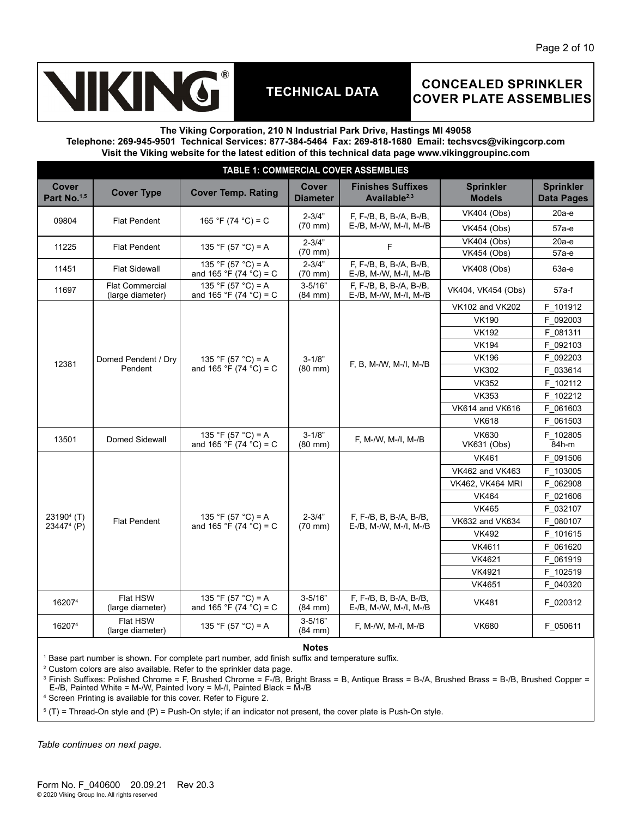# **IKING**

# **TECHNICAL DATA**

## **CONCEALED SPRINKLER COVER PLATE ASSEMBLIES**

#### **The Viking Corporation, 210 N Industrial Park Drive, Hastings MI 49058**

**Telephone: 269-945-9501 Technical Services: 877-384-5464 Fax: 269-818-1680 Email: techsvcs@vikingcorp.com Visit the Viking website for the latest edition of this technical data page www.vikinggroupinc.com**

| <b>TABLE 1: COMMERCIAL COVER ASSEMBLIES</b>      |                                            |                                                       |                                  |                                                      |                                   |                                       |  |  |  |  |
|--------------------------------------------------|--------------------------------------------|-------------------------------------------------------|----------------------------------|------------------------------------------------------|-----------------------------------|---------------------------------------|--|--|--|--|
| Cover<br>Part No. <sup>1,5</sup>                 | <b>Cover Type</b>                          | <b>Cover Temp. Rating</b>                             |                                  | <b>Finishes Suffixes</b><br>Available <sup>2,3</sup> | <b>Sprinkler</b><br><b>Models</b> | <b>Sprinkler</b><br><b>Data Pages</b> |  |  |  |  |
|                                                  |                                            |                                                       | $2 - 3/4"$                       | F, F-/B, B, B-/A, B-/B,                              | <b>VK404 (Obs)</b>                | $20a-e$                               |  |  |  |  |
| 09804                                            | <b>Flat Pendent</b>                        | 165 °F (74 °C) = C                                    | $(70$ mm $)$                     | E-/B, M-/W, M-/I, M-/B                               | <b>VK454 (Obs)</b>                | 57а-е                                 |  |  |  |  |
| 11225                                            | <b>Flat Pendent</b>                        | 135 °F (57 °C) = A                                    | $2 - 3/4"$                       | F                                                    | <b>VK404 (Obs)</b>                | $20a-e$                               |  |  |  |  |
|                                                  |                                            |                                                       | $(70$ mm $)$                     |                                                      | <b>VK454 (Obs)</b>                | 57а-е                                 |  |  |  |  |
| 11451                                            | <b>Flat Sidewall</b>                       | 135 °F (57 °C) = A<br>and 165 °F (74 °C) = C          | $2 - 3/4"$<br>(70 mm)            | F, F-/B, B, B-/A, B-/B,<br>E-/B, M-/W, M-/I, M-/B    | <b>VK408 (Obs)</b>                | 63а-е                                 |  |  |  |  |
| 11697                                            | <b>Flat Commercial</b><br>(large diameter) | 135 °F (57 °C) = A<br>and 165 °F (74 °C) = C          | $3 - 5/16"$<br>$(84 \text{ mm})$ | $F, F$ -/B, B, B-/A, B-/B,<br>E-/B, M-/W, M-/I, M-/B | VK404, VK454 (Obs)                | $57a-f$                               |  |  |  |  |
|                                                  |                                            |                                                       |                                  | F. B. M-/W. M-/I. M-/B                               | VK102 and VK202                   | F 101912                              |  |  |  |  |
|                                                  |                                            |                                                       |                                  |                                                      | <b>VK190</b>                      | F 092003                              |  |  |  |  |
|                                                  |                                            |                                                       |                                  |                                                      | <b>VK192</b>                      | F 081311                              |  |  |  |  |
|                                                  |                                            |                                                       |                                  |                                                      | <b>VK194</b>                      | F 092103                              |  |  |  |  |
| 12381                                            | Domed Pendent / Dry<br>Pendent             | 135 °F (57 °C) = A<br>and 165 °F (74 °C) = C          | $3 - 1/8"$                       |                                                      | <b>VK196</b>                      | F 092203                              |  |  |  |  |
|                                                  |                                            |                                                       | $(80 \text{ mm})$                |                                                      | <b>VK302</b>                      | F 033614                              |  |  |  |  |
|                                                  |                                            |                                                       |                                  |                                                      | <b>VK352</b>                      | F 102112                              |  |  |  |  |
|                                                  |                                            |                                                       |                                  |                                                      | <b>VK353</b>                      | F 102212                              |  |  |  |  |
|                                                  |                                            |                                                       |                                  |                                                      | VK614 and VK616                   | F 061603                              |  |  |  |  |
|                                                  |                                            |                                                       |                                  |                                                      | <b>VK618</b>                      | F 061503                              |  |  |  |  |
| 13501                                            | Domed Sidewall                             | 135 °F (57 °C) = A<br>and 165 °F (74 $\degree$ C) = C | $3 - 1/8"$<br>$(80$ mm $)$       | F, M-/W, M-/I, M-/B                                  | VK630<br><b>VK631 (Obs)</b>       | F 102805<br>84h-m                     |  |  |  |  |
|                                                  |                                            |                                                       |                                  |                                                      | <b>VK461</b>                      | F 091506                              |  |  |  |  |
|                                                  |                                            |                                                       |                                  |                                                      | <b>VK462 and VK463</b>            | F 103005                              |  |  |  |  |
|                                                  |                                            |                                                       |                                  |                                                      | <b>VK462, VK464 MRI</b>           | F 062908                              |  |  |  |  |
|                                                  |                                            |                                                       |                                  |                                                      | <b>VK464</b>                      | F 021606                              |  |  |  |  |
|                                                  |                                            |                                                       |                                  |                                                      | <b>VK465</b>                      | F 032107                              |  |  |  |  |
| 23190 <sup>4</sup> (T)<br>23447 <sup>4</sup> (P) | <b>Flat Pendent</b>                        | 135 °F (57 °C) = A<br>and 165 °F (74 °C) = C          | $2 - 3/4"$<br>$(70 \text{ mm})$  | F, F-/B, B, B-/A, B-/B,<br>$E$ -/B, M-/W, M-/I, M-/B | <b>VK632 and VK634</b>            | F 080107                              |  |  |  |  |
|                                                  |                                            |                                                       |                                  |                                                      | <b>VK492</b>                      | F 101615                              |  |  |  |  |
|                                                  |                                            |                                                       |                                  |                                                      | VK4611                            | F 061620                              |  |  |  |  |
|                                                  |                                            |                                                       |                                  |                                                      | VK4621                            | F 061919                              |  |  |  |  |
|                                                  |                                            |                                                       |                                  |                                                      | VK4921                            | F 102519                              |  |  |  |  |
|                                                  |                                            |                                                       |                                  |                                                      | VK4651                            | F 040320                              |  |  |  |  |
| 162074                                           | Flat HSW<br>(large diameter)               | 135 °F (57 °C) = A<br>and 165 °F (74 °C) = C          | $3 - 5/16"$<br>$(84$ mm $)$      | F, F-/B, B, B-/A, B-/B,<br>E-/B, M-/W, M-/I, M-/B    | <b>VK481</b>                      | F 020312                              |  |  |  |  |
| 162074                                           | Flat HSW<br>(large diameter)               | 135 °F (57 °C) = A                                    | $3 - 5/16"$<br>(84 mm)           | F, M-/W, M-/I, M-/B                                  | <b>VK680</b>                      | F 050611                              |  |  |  |  |

**Notes**

1 Base part number is shown. For complete part number, add finish suffix and temperature suffix.

2 Custom colors are also available. Refer to the sprinkler data page.

3 Finish Suffixes: Polished Chrome = F, Brushed Chrome = F-/B, Bright Brass = B, Antique Brass = B-/A, Brushed Brass = B-/B, Brushed Copper = E-/B, Painted White = M-/W, Painted Ivory = M-/I, Painted Black = M-/B

4 Screen Printing is available for this cover. Refer to Figure 2.

 $5$  (T) = Thread-On style and (P) = Push-On style; if an indicator not present, the cover plate is Push-On style.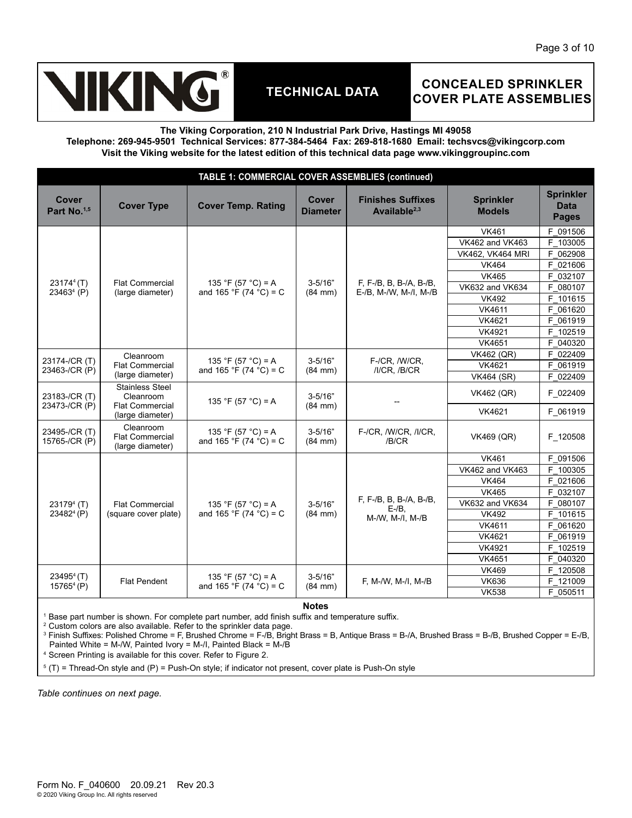

## **CONCEALED SPRINKLER COVER PLATE ASSEMBLIES**

**The Viking Corporation, 210 N Industrial Park Drive, Hastings MI 49058**

**Telephone: 269-945-9501 Technical Services: 877-384-5464 Fax: 269-818-1680 Email: techsvcs@vikingcorp.com Visit the Viking website for the latest edition of this technical data page www.vikinggroupinc.com**

| <b>TABLE 1: COMMERCIAL COVER ASSEMBLIES (continued)</b> |                                                                                   |                                              |                             |                                                   |                                   |                                                 |  |  |  |  |
|---------------------------------------------------------|-----------------------------------------------------------------------------------|----------------------------------------------|-----------------------------|---------------------------------------------------|-----------------------------------|-------------------------------------------------|--|--|--|--|
| Cover<br>Part No. <sup>1,5</sup>                        | <b>Cover Type</b>                                                                 | <b>Cover Temp. Rating</b>                    | Cover<br><b>Diameter</b>    | <b>Finishes Suffixes</b><br>Available $2,3$       | <b>Sprinkler</b><br><b>Models</b> | <b>Sprinkler</b><br><b>Data</b><br><b>Pages</b> |  |  |  |  |
|                                                         |                                                                                   |                                              |                             |                                                   | <b>VK461</b>                      | F 091506                                        |  |  |  |  |
|                                                         |                                                                                   |                                              |                             |                                                   | <b>VK462 and VK463</b>            | F 103005                                        |  |  |  |  |
|                                                         |                                                                                   |                                              |                             |                                                   | <b>VK462, VK464 MRI</b>           | F 062908                                        |  |  |  |  |
|                                                         |                                                                                   |                                              |                             |                                                   | <b>VK464</b>                      | F 021606                                        |  |  |  |  |
|                                                         | <b>Flat Commercial</b>                                                            |                                              | $3 - 5/16"$                 |                                                   | <b>VK465</b>                      | F 032107                                        |  |  |  |  |
| 23174 <sup>4</sup> (T)<br>23463 <sup>4</sup> (P)        | (large diameter)                                                                  | 135 °F (57 °C) = A<br>and 165 °F (74 °C) = C | $(84$ mm $)$                | F, F-/B, B, B-/A, B-/B,<br>E-/B, M-/W, M-/I, M-/B | <b>VK632 and VK634</b>            | F 080107                                        |  |  |  |  |
|                                                         |                                                                                   |                                              |                             |                                                   | <b>VK492</b>                      | F 101615                                        |  |  |  |  |
|                                                         |                                                                                   |                                              |                             |                                                   | VK4611                            | F 061620                                        |  |  |  |  |
|                                                         |                                                                                   |                                              |                             |                                                   | VK4621                            | F 061919                                        |  |  |  |  |
|                                                         |                                                                                   |                                              |                             |                                                   | <b>VK4921</b>                     | F 102519                                        |  |  |  |  |
|                                                         |                                                                                   |                                              |                             |                                                   | VK4651                            | F 040320                                        |  |  |  |  |
| 23174-/CR (T)                                           | Cleanroom<br><b>Flat Commercial</b><br>(large diameter)                           | 135 °F (57 °C) = A<br>and 165 °F (74 °C) = C | $3 - 5/16"$<br>$(84$ mm $)$ | F-/CR, /W/CR,                                     | <b>VK462 (QR)</b>                 | F 022409                                        |  |  |  |  |
| 23463-/CR (P)                                           |                                                                                   |                                              |                             | /I/CR, /B/CR                                      | VK4621                            | F 061919                                        |  |  |  |  |
|                                                         |                                                                                   |                                              |                             |                                                   | <b>VK464 (SR)</b>                 | F 022409                                        |  |  |  |  |
| 23183-/CR (T)                                           | <b>Stainless Steel</b><br>Cleanroom<br><b>Flat Commercial</b><br>(large diameter) | 135 °F (57 °C) = A                           | $3 - 5/16"$<br>$(84$ mm $)$ |                                                   | <b>VK462 (QR)</b>                 | F 022409                                        |  |  |  |  |
| 23473-/CR (P)                                           |                                                                                   |                                              |                             |                                                   | VK4621                            | F 061919                                        |  |  |  |  |
| 23495-/CR (T)<br>15765-/CR (P)                          | Cleanroom<br><b>Flat Commercial</b><br>(large diameter)                           | 135 °F (57 °C) = A<br>and 165 °F (74 °C) = C | $3 - 5/16"$<br>$(84$ mm $)$ | F-/CR, /W/CR, /I/CR,<br>/B/CR                     | <b>VK469 (QR)</b>                 | F 120508                                        |  |  |  |  |
|                                                         |                                                                                   |                                              |                             |                                                   | <b>VK461</b>                      | F 091506                                        |  |  |  |  |
|                                                         |                                                                                   |                                              |                             |                                                   | <b>VK462 and VK463</b>            | F 100305                                        |  |  |  |  |
|                                                         |                                                                                   |                                              |                             |                                                   | <b>VK464</b>                      | F 021606                                        |  |  |  |  |
|                                                         |                                                                                   |                                              |                             |                                                   | <b>VK465</b>                      | F 032107                                        |  |  |  |  |
| 23179 <sup>4</sup> (T)                                  | <b>Flat Commercial</b>                                                            | 135 °F (57 °C) = A                           | $3 - 5/16"$                 | F, F-/B, B, B-/A, B-/B,<br>$E - / B$              | VK632 and VK634                   | F 080107                                        |  |  |  |  |
| 23482 <sup>4</sup> (P)                                  | (square cover plate)                                                              | and 165 °F (74 °C) = C                       | $(84$ mm $)$                | M-/W, M-/I, M-/B                                  | <b>VK492</b>                      | F 101615                                        |  |  |  |  |
|                                                         |                                                                                   |                                              |                             |                                                   | VK4611                            | F 061620                                        |  |  |  |  |
|                                                         |                                                                                   |                                              |                             |                                                   | VK4621                            | F 061919                                        |  |  |  |  |
|                                                         |                                                                                   |                                              |                             |                                                   | <b>VK4921</b>                     | F 102519                                        |  |  |  |  |
|                                                         |                                                                                   |                                              |                             |                                                   | VK4651                            | F 040320                                        |  |  |  |  |
|                                                         |                                                                                   |                                              |                             |                                                   | <b>VK469</b>                      | F 120508                                        |  |  |  |  |
| $234954$ (T)<br>$157654$ (P)                            | <b>Flat Pendent</b>                                                               | 135 °F (57 °C) = A<br>and 165 °F (74 °C) = C | $3 - 5/16"$<br>$(84$ mm $)$ | F, M-/W, M-/I, M-/B                               | <b>VK636</b>                      | F 121009                                        |  |  |  |  |
|                                                         |                                                                                   |                                              |                             |                                                   | <b>VK538</b>                      | F 050511                                        |  |  |  |  |
|                                                         | <b>Notes</b>                                                                      |                                              |                             |                                                   |                                   |                                                 |  |  |  |  |

1 Base part number is shown. For complete part number, add finish suffix and temperature suffix.

2 Custom colors are also available. Refer to the sprinkler data page.

3 Finish Suffixes: Polished Chrome = F, Brushed Chrome = F-/B, Bright Brass = B, Antique Brass = B-/A, Brushed Brass = B-/B, Brushed Copper = E-/B, Painted White = M-/W, Painted Ivory = M-/I, Painted Black = M-/B

4 Screen Printing is available for this cover. Refer to Figure 2.

 $5$  (T) = Thread-On style and (P) = Push-On style; if indicator not present, cover plate is Push-On style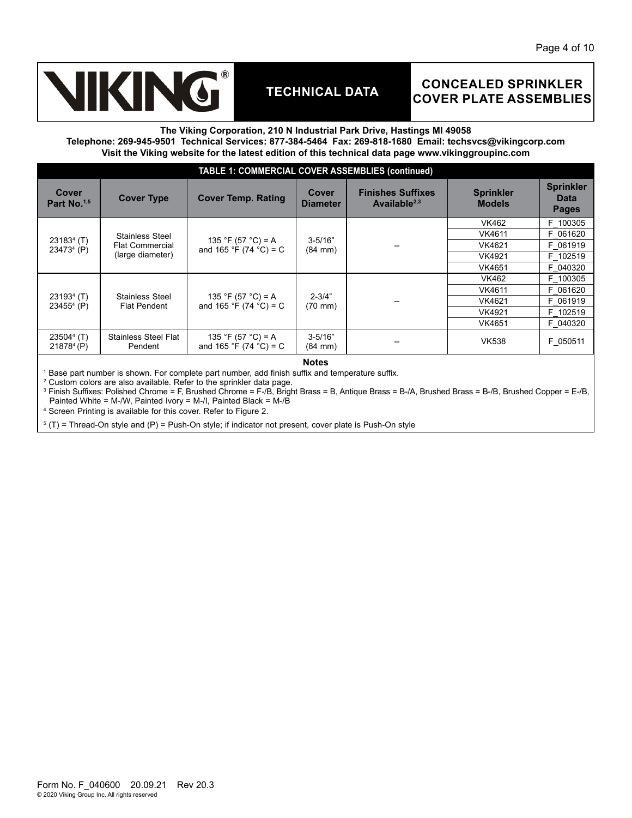# KING

# **TECHNICAL DATA**

## **CONCEALED SPRINKLER COVER PLATE ASSEMBLIES**

#### **The Viking Corporation, 210 N Industrial Park Drive, Hastings MI 49058**

**Telephone: 269-945-9501 Technical Services: 877-384-5464 Fax: 269-818-1680 Email: techsvcs@vikingcorp.com Visit the Viking website for the latest edition of this technical data page www.vikinggroupinc.com**

|                                        | <b>TABLE 1: COMMERCIAL COVER ASSEMBLIES (continued)</b>              |                                              |                                  |                                             |                                   |                                                 |  |  |  |  |
|----------------------------------------|----------------------------------------------------------------------|----------------------------------------------|----------------------------------|---------------------------------------------|-----------------------------------|-------------------------------------------------|--|--|--|--|
| Cover<br>Part No. <sup>1,5</sup>       | <b>Cover Type</b>                                                    | <b>Cover Temp. Rating</b>                    | <b>Cover</b><br><b>Diameter</b>  | <b>Finishes Suffixes</b><br>Available $2,3$ | <b>Sprinkler</b><br><b>Models</b> | <b>Sprinkler</b><br><b>Data</b><br><b>Pages</b> |  |  |  |  |
| $231834$ (T)<br>23473 <sup>4</sup> (P) |                                                                      |                                              | $3 - 5/16$<br>$(84 \text{ mm})$  |                                             | VK462                             | F 100305                                        |  |  |  |  |
|                                        | <b>Stainless Steel</b><br><b>Flat Commercial</b><br>(large diameter) | 135 °F (57 °C) = A<br>and 165 °F (74 °C) = C |                                  |                                             | VK4611                            | F 061620                                        |  |  |  |  |
|                                        |                                                                      |                                              |                                  |                                             | VK4621                            | F 061919                                        |  |  |  |  |
|                                        |                                                                      |                                              |                                  |                                             | VK4921                            | F 102519                                        |  |  |  |  |
|                                        |                                                                      |                                              |                                  |                                             | VK4651                            | F 040320                                        |  |  |  |  |
|                                        | <b>Stainless Steel</b><br><b>Flat Pendent</b>                        | 135 °F (57 °C) = A<br>and 165 °F (74 °C) = C | $2 - 3/4"$<br>$(70 \text{ mm})$  |                                             | VK462                             | F 100305                                        |  |  |  |  |
|                                        |                                                                      |                                              |                                  |                                             | VK4611                            | F 061620                                        |  |  |  |  |
| $231934$ (T)<br>$234554$ (P)           |                                                                      |                                              |                                  |                                             | VK4621                            | F 061919                                        |  |  |  |  |
|                                        |                                                                      |                                              |                                  |                                             | VK4921                            | F 102519                                        |  |  |  |  |
|                                        |                                                                      |                                              |                                  |                                             | VK4651                            | F 040320                                        |  |  |  |  |
| $235044$ (T)<br>$218784$ (P)           | <b>Stainless Steel Flat</b><br>Pendent                               | 135 °F (57 °C) = A<br>and 165 °F (74 °C) = C | $3 - 5/16"$<br>$(84 \text{ mm})$ | --                                          | <b>VK538</b>                      | F 050511                                        |  |  |  |  |

#### **Notes**

1 Base part number is shown. For complete part number, add finish suffix and temperature suffix.

 $2$  Custom colors are also available. Refer to the sprinkler data page.

3 Finish Suffixes: Polished Chrome = F, Brushed Chrome = F-/B, Bright Brass = B, Antique Brass = B-/A, Brushed Brass = B-/B, Brushed Copper = E-/B, Painted White = M-/W, Painted Ivory = M-/I, Painted Black = M-/B

4 Screen Printing is available for this cover. Refer to Figure 2.

 $5$  (T) = Thread-On style and (P) = Push-On style; if indicator not present, cover plate is Push-On style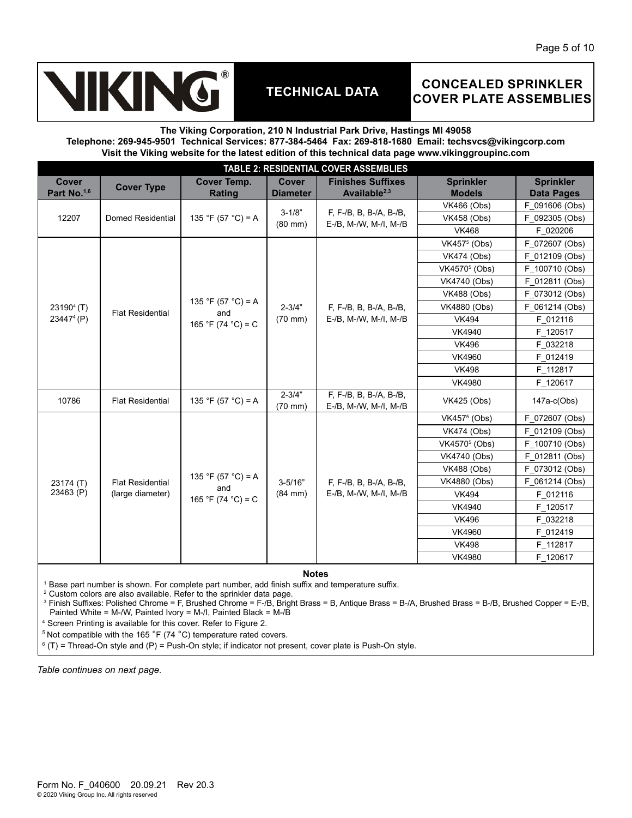# KING

# **TECHNICAL DATA**

## **CONCEALED SPRINKLER COVER PLATE ASSEMBLIES**

### **The Viking Corporation, 210 N Industrial Park Drive, Hastings MI 49058 Telephone: 269-945-9501 Technical Services: 877-384-5464 Fax: 269-818-1680 Email: techsvcs@vikingcorp.com Visit the Viking website for the latest edition of this technical data page www.vikinggroupinc.com**

| TABLE 2: RESIDENTIAL COVER ASSEMBLIES   |                         |                                     |                                 |                                                   |                                   |                                       |  |  |  |
|-----------------------------------------|-------------------------|-------------------------------------|---------------------------------|---------------------------------------------------|-----------------------------------|---------------------------------------|--|--|--|
| <b>Cover</b><br>Part No. <sup>1,6</sup> | <b>Cover Type</b>       | <b>Cover Temp.</b><br><b>Rating</b> | <b>Cover</b><br><b>Diameter</b> | <b>Finishes Suffixes</b><br>Available $2,3$       | <b>Sprinkler</b><br><b>Models</b> | <b>Sprinkler</b><br><b>Data Pages</b> |  |  |  |
|                                         |                         |                                     | $3 - 1/8"$                      | F, F-/B, B, B-/A, B-/B,<br>E-/B, M-/W, M-/I, M-/B | <b>VK466 (Obs)</b>                | F 091606 (Obs)                        |  |  |  |
| 12207                                   | Domed Residential       | 135 °F (57 °C) = A                  | $(80$ mm $)$                    |                                                   | <b>VK458 (Obs)</b>                | F 092305 (Obs)                        |  |  |  |
|                                         |                         |                                     |                                 |                                                   | <b>VK468</b>                      | F 020206                              |  |  |  |
|                                         |                         |                                     |                                 |                                                   | VK457 <sup>5</sup> (Obs)          | F 072607 (Obs)                        |  |  |  |
|                                         |                         |                                     |                                 |                                                   | <b>VK474 (Obs)</b>                | F 012109 (Obs)                        |  |  |  |
|                                         |                         |                                     |                                 |                                                   | VK4570 <sup>5</sup> (Obs)         | F 100710 (Obs)                        |  |  |  |
|                                         |                         |                                     |                                 |                                                   | VK4740 (Obs)                      | F 012811 (Obs)                        |  |  |  |
|                                         |                         |                                     |                                 |                                                   | <b>VK488 (Obs)</b>                | F 073012 (Obs)                        |  |  |  |
| $23190^{4}$ (T)                         | <b>Flat Residential</b> | 135 °F (57 °C) = A                  | $2 - 3/4"$                      | F, F-/B, B, B-/A, B-/B,                           | VK4880 (Obs)                      | F 061214 (Obs)                        |  |  |  |
| 23447 <sup>4</sup> (P)                  |                         | and<br>165 °F (74 °C) = C           | $(70$ mm $)$                    | E-/B, M-/W, M-/I, M-/B                            | <b>VK494</b>                      | F 012116                              |  |  |  |
|                                         |                         |                                     |                                 |                                                   | VK4940                            | F 120517                              |  |  |  |
|                                         |                         |                                     |                                 |                                                   | <b>VK496</b>                      | F 032218                              |  |  |  |
|                                         |                         |                                     |                                 |                                                   | <b>VK4960</b>                     | F 012419                              |  |  |  |
|                                         |                         |                                     |                                 |                                                   | <b>VK498</b>                      | F 112817                              |  |  |  |
|                                         |                         |                                     |                                 |                                                   | <b>VK4980</b>                     | F 120617                              |  |  |  |
| 10786                                   | <b>Flat Residential</b> | 135 °F (57 °C) = A                  | $2 - 3/4"$<br>$(70$ mm $)$      | F, F-/B, B, B-/A, B-/B,<br>E-/B, M-/W, M-/I, M-/B | VK425 (Obs)                       | $147a-c(Obs)$                         |  |  |  |
|                                         |                         |                                     |                                 |                                                   | VK457 <sup>5</sup> (Obs)          | F 072607 (Obs)                        |  |  |  |
|                                         |                         |                                     |                                 |                                                   | <b>VK474 (Obs)</b>                | F 012109 (Obs)                        |  |  |  |
|                                         |                         |                                     |                                 |                                                   | VK4570 <sup>5</sup> (Obs)         | F 100710 (Obs)                        |  |  |  |
|                                         |                         |                                     |                                 |                                                   | VK4740 (Obs)                      | F 012811 (Obs)                        |  |  |  |
|                                         |                         |                                     |                                 |                                                   | <b>VK488 (Obs)</b>                | F 073012 (Obs)                        |  |  |  |
| 23174 (T)                               | <b>Flat Residential</b> | 135 °F (57 °C) = A                  | $3 - 5/16"$                     | F, F-/B, B, B-/A, B-/B,                           | VK4880 (Obs)                      | F 061214 (Obs)                        |  |  |  |
| 23463 (P)                               | (large diameter)        | and<br>165 °F (74 °C) = C           | $(84$ mm $)$                    | E-/B, M-/W, M-/I, M-/B                            | <b>VK494</b>                      | F 012116                              |  |  |  |
|                                         |                         |                                     |                                 |                                                   | VK4940                            | F 120517                              |  |  |  |
|                                         |                         |                                     |                                 |                                                   | <b>VK496</b>                      | F 032218                              |  |  |  |
|                                         |                         |                                     |                                 |                                                   | VK4960                            | F 012419                              |  |  |  |
|                                         |                         |                                     |                                 |                                                   | <b>VK498</b>                      | F 112817                              |  |  |  |
|                                         |                         |                                     |                                 |                                                   | <b>VK4980</b>                     | F 120617                              |  |  |  |

**Notes**

1 Base part number is shown. For complete part number, add finish suffix and temperature suffix.

2 Custom colors are also available. Refer to the sprinkler data page.

3 Finish Suffixes: Polished Chrome = F, Brushed Chrome = F-/B, Bright Brass = B, Antique Brass = B-/A, Brushed Brass = B-/B, Brushed Copper = E-/B, Painted White = M-/W, Painted Ivory = M-/I, Painted Black = M-/B

4 Screen Printing is available for this cover. Refer to Figure 2.

5 Not compatible with the 165 °F (74 °C) temperature rated covers.

 $^{\rm 6}$  (T) = Thread-On style and (P) = Push-On style; if indicator not present, cover plate is Push-On style.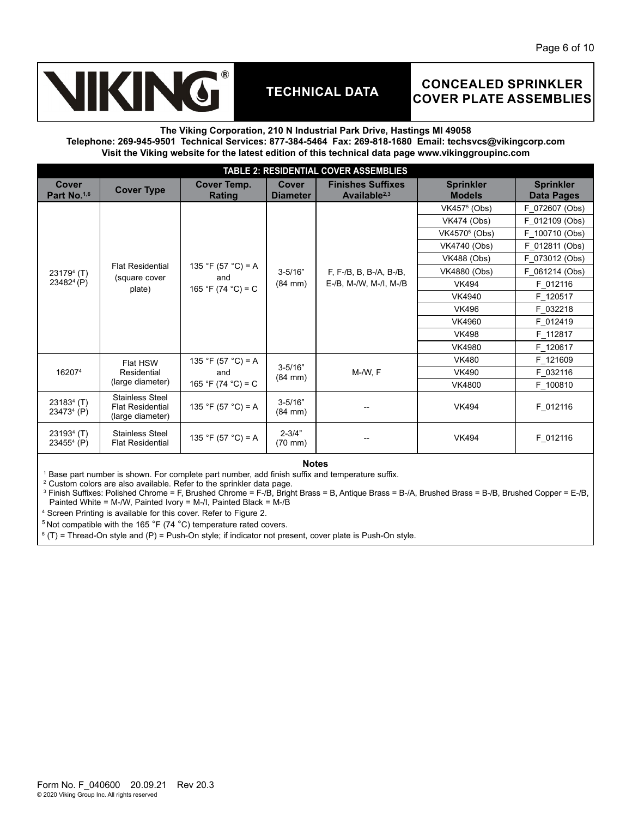# **IKING**

# **TECHNICAL DATA**

## **CONCEALED SPRINKLER COVER PLATE ASSEMBLIES**

#### **The Viking Corporation, 210 N Industrial Park Drive, Hastings MI 49058 Telephone: 269-945-9501 Technical Services: 877-384-5464 Fax: 269-818-1680 Email: techsvcs@vikingcorp.com Visit the Viking website for the latest edition of this technical data page www.vikinggroupinc.com**

| <b>TABLE 2: RESIDENTIAL COVER ASSEMBLIES</b> |                                                                       |                              |                                  |                                                      |                                   |                                       |          |  |  |
|----------------------------------------------|-----------------------------------------------------------------------|------------------------------|----------------------------------|------------------------------------------------------|-----------------------------------|---------------------------------------|----------|--|--|
| <b>Cover</b><br>Part No. <sup>1,6</sup>      | <b>Cover Type</b>                                                     | Cover Temp.<br><b>Rating</b> | Cover<br><b>Diameter</b>         | <b>Finishes Suffixes</b><br>Available <sup>2,3</sup> | <b>Sprinkler</b><br><b>Models</b> | <b>Sprinkler</b><br><b>Data Pages</b> |          |  |  |
|                                              |                                                                       |                              |                                  |                                                      | VK457 <sup>5</sup> (Obs)          | F 072607 (Obs)                        |          |  |  |
|                                              |                                                                       |                              |                                  |                                                      | VK474 (Obs)                       | F 012109 (Obs)                        |          |  |  |
|                                              |                                                                       |                              |                                  |                                                      | VK4570 <sup>5</sup> (Obs)         | F_100710 (Obs)                        |          |  |  |
|                                              |                                                                       |                              |                                  |                                                      | VK4740 (Obs)                      | F_012811 (Obs)                        |          |  |  |
|                                              |                                                                       |                              |                                  |                                                      | <b>VK488 (Obs)</b>                | F 073012 (Obs)                        |          |  |  |
| $231794$ (T)<br>23482 <sup>4</sup> (P)       | <b>Flat Residential</b><br>(square cover<br>plate)                    | 135 °F (57 °C) = A<br>and    | $3 - 5/16"$                      | F, F-/B, B, B-/A, B-/B,<br>E-/B, M-/W, M-/I, M-/B    | VK4880 (Obs)                      | F 061214 (Obs)                        |          |  |  |
|                                              |                                                                       | 165 °F (74 °C) = C           | $(84$ mm $)$                     |                                                      | <b>VK494</b>                      | F 012116                              |          |  |  |
|                                              |                                                                       |                              |                                  |                                                      | VK4940                            | F 120517                              |          |  |  |
|                                              |                                                                       |                              |                                  |                                                      | <b>VK496</b>                      | F 032218                              |          |  |  |
|                                              |                                                                       |                              |                                  |                                                      | VK4960                            | F 012419                              |          |  |  |
|                                              |                                                                       |                              |                                  |                                                      | <b>VK498</b>                      | F 112817                              |          |  |  |
|                                              |                                                                       |                              |                                  |                                                      | <b>VK4980</b>                     | F 120617                              |          |  |  |
|                                              | Flat HSW                                                              |                              | 135 °F (57 °C) = A               |                                                      |                                   | <b>VK480</b>                          | F 121609 |  |  |
| 162074                                       | Residential                                                           | and                          | $3 - 5/16"$<br>$(84 \text{ mm})$ | M-/W, F                                              | <b>VK490</b>                      | F 032116                              |          |  |  |
|                                              | (large diameter)                                                      | 165 °F (74 °C) = C           |                                  |                                                      | <b>VK4800</b>                     | F 100810                              |          |  |  |
| $231834$ (T)<br>23473 <sup>4</sup> (P)       | <b>Stainless Steel</b><br><b>Flat Residential</b><br>(large diameter) | 135 °F (57 °C) = A           | $3 - 5/16"$<br>$(84 \text{ mm})$ |                                                      | <b>VK494</b>                      | F_012116                              |          |  |  |
| $231934$ (T)<br>$234554$ (P)                 | <b>Stainless Steel</b><br><b>Flat Residential</b>                     | 135 °F (57 °C) = A           | $2 - 3/4"$<br>$(70 \text{ mm})$  |                                                      | <b>VK494</b>                      | F_012116                              |          |  |  |

**Notes**

 $^{\rm 1}$  Base part number is shown. For complete part number, add finish suffix and temperature suffix.

 $2$  Custom colors are also available. Refer to the sprinkler data page.

3 Finish Suffixes: Polished Chrome = F, Brushed Chrome = F-/B, Bright Brass = B, Antique Brass = B-/A, Brushed Brass = B-/B, Brushed Copper = E-/B, Painted White = M-/W, Painted Ivory = M-/I, Painted Black = M-/B

4 Screen Printing is available for this cover. Refer to Figure 2.

 $5$  Not compatible with the 165  $\degree$ F (74  $\degree$ C) temperature rated covers.

 $^{\circ}$  (T) = Thread-On style and (P) = Push-On style; if indicator not present, cover plate is Push-On style.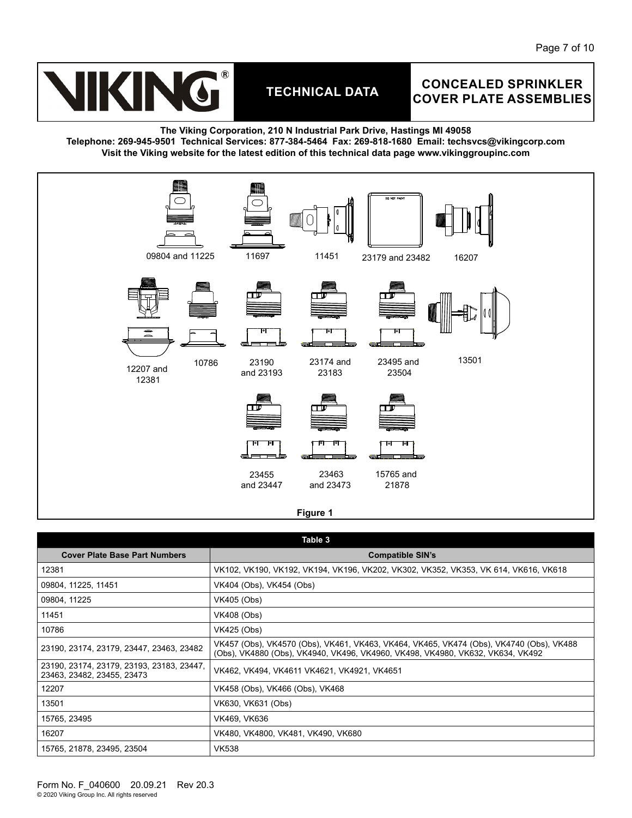

## **CONCEALED SPRINKLER COVER PLATE ASSEMBLIES**

**The Viking Corporation, 210 N Industrial Park Drive, Hastings MI 49058 Telephone: 269-945-9501 Technical Services: 877-384-5464 Fax: 269-818-1680 Email: techsvcs@vikingcorp.com Visit the Viking website for the latest edition of this technical data page www.vikinggroupinc.com**



|                                                                         | Table 3                                                                                                                                                                   |
|-------------------------------------------------------------------------|---------------------------------------------------------------------------------------------------------------------------------------------------------------------------|
| <b>Cover Plate Base Part Numbers</b>                                    | <b>Compatible SIN's</b>                                                                                                                                                   |
| 12381                                                                   | VK102, VK190, VK192, VK194, VK196, VK202, VK302, VK352, VK353, VK 614, VK616, VK618                                                                                       |
| 09804, 11225, 11451                                                     | VK404 (Obs), VK454 (Obs)                                                                                                                                                  |
| 09804, 11225                                                            | VK405 (Obs)                                                                                                                                                               |
| 11451                                                                   | VK408 (Obs)                                                                                                                                                               |
| 10786                                                                   | VK425 (Obs)                                                                                                                                                               |
| 23190, 23174, 23179, 23447, 23463, 23482                                | VK457 (Obs), VK4570 (Obs), VK461, VK463, VK464, VK465, VK474 (Obs), VK4740 (Obs), VK488<br>(Obs), VK4880 (Obs), VK4940, VK496, VK4960, VK498, VK4980, VK632, VK634, VK492 |
| 23190, 23174, 23179, 23193, 23183, 23447,<br>23463, 23482, 23455, 23473 | VK462, VK494, VK4611 VK4621, VK4921, VK4651                                                                                                                               |
| 12207                                                                   | VK458 (Obs), VK466 (Obs), VK468                                                                                                                                           |
| 13501                                                                   | VK630, VK631 (Obs)                                                                                                                                                        |
| 15765, 23495                                                            | VK469, VK636                                                                                                                                                              |
| 16207                                                                   | VK480, VK4800, VK481, VK490, VK680                                                                                                                                        |
| 15765, 21878, 23495, 23504                                              | <b>VK538</b>                                                                                                                                                              |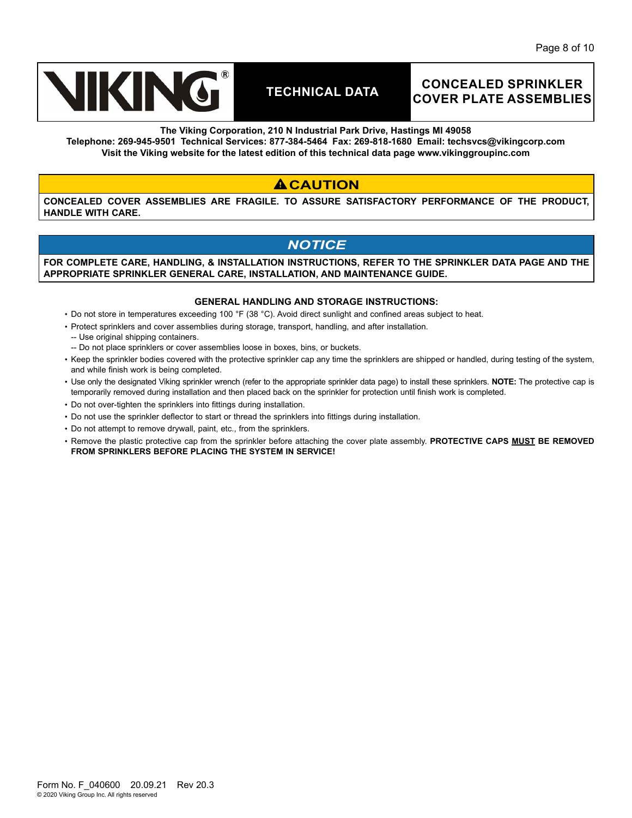

## **CONCEALED SPRINKLER COVER PLATE ASSEMBLIES**

**The Viking Corporation, 210 N Industrial Park Drive, Hastings MI 49058**

**Telephone: 269-945-9501 Technical Services: 877-384-5464 Fax: 269-818-1680 Email: techsvcs@vikingcorp.com Visit the Viking website for the latest edition of this technical data page www.vikinggroupinc.com**

## **ACAUTION**

**CONCEALED COVER ASSEMBLIES ARE FRAGILE. TO ASSURE SATISFACTORY PERFORMANCE OF THE PRODUCT, HANDLE WITH CARE.** 

## *NOTICE*

**FOR COMPLETE CARE, HANDLING, & INSTALLATION INSTRUCTIONS, REFER TO THE SPRINKLER DATA PAGE AND THE APPROPRIATE SPRINKLER GENERAL CARE, INSTALLATION, AND MAINTENANCE GUIDE.** 

#### **GENERAL HANDLING AND STORAGE INSTRUCTIONS:**

- Do not store in temperatures exceeding 100 °F (38 °C). Avoid direct sunlight and confined areas subject to heat.
- Protect sprinklers and cover assemblies during storage, transport, handling, and after installation.
- -- Use original shipping containers.
- -- Do not place sprinklers or cover assemblies loose in boxes, bins, or buckets.
- Keep the sprinkler bodies covered with the protective sprinkler cap any time the sprinklers are shipped or handled, during testing of the system, and while finish work is being completed.
- Use only the designated Viking sprinkler wrench (refer to the appropriate sprinkler data page) to install these sprinklers. **NOTE:** The protective cap is temporarily removed during installation and then placed back on the sprinkler for protection until finish work is completed.
- Do not over-tighten the sprinklers into fittings during installation.
- Do not use the sprinkler deflector to start or thread the sprinklers into fittings during installation.
- Do not attempt to remove drywall, paint, etc., from the sprinklers.
- Remove the plastic protective cap from the sprinkler before attaching the cover plate assembly. **PROTECTIVE CAPS MUST BE REMOVED FROM SPRINKLERS BEFORE PLACING THE SYSTEM IN SERVICE!**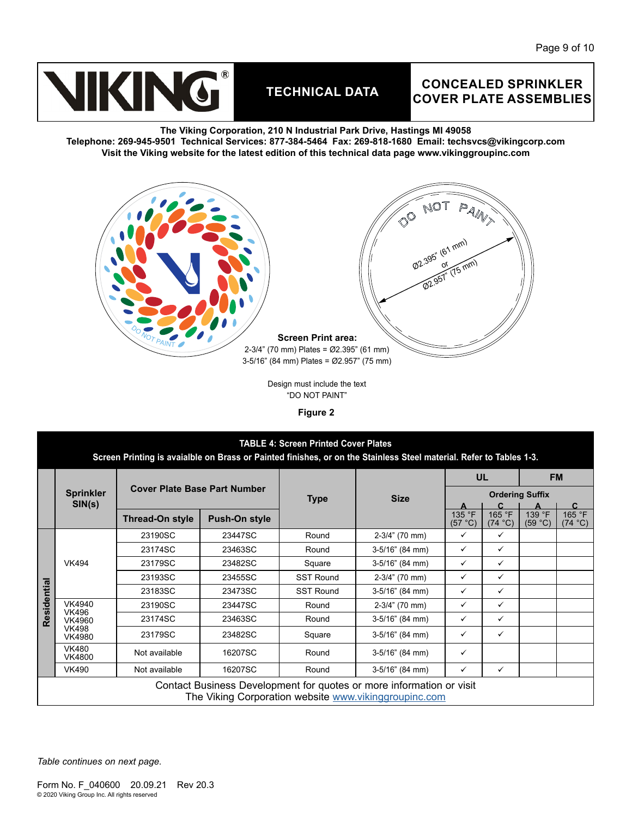

## **CONCEALED SPRINKLER COVER PLATE ASSEMBLIES**

**The Viking Corporation, 210 N Industrial Park Drive, Hastings MI 49058 Telephone: 269-945-9501 Technical Services: 877-384-5464 Fax: 269-818-1680 Email: techsvcs@vikingcorp.com Visit the Viking website for the latest edition of this technical data page www.vikinggroupinc.com**



Design must include the text "DO NOT PAINT"

**Figure 2**

|             | <b>TABLE 4: Screen Printed Cover Plates</b><br>Screen Printing is avaialble on Brass or Painted finishes, or on the Stainless Steel material. Refer to Tables 1-3. |                                     |               |                  |                   |                           |                        |                   |                        |  |
|-------------|--------------------------------------------------------------------------------------------------------------------------------------------------------------------|-------------------------------------|---------------|------------------|-------------------|---------------------------|------------------------|-------------------|------------------------|--|
|             |                                                                                                                                                                    | <b>Cover Plate Base Part Number</b> |               |                  |                   |                           | <b>UL</b>              | <b>FM</b>         |                        |  |
|             | <b>Sprinkler</b><br>SIN(s)                                                                                                                                         |                                     |               | <b>Type</b>      | <b>Size</b>       |                           | <b>Ordering Suffix</b> |                   |                        |  |
|             |                                                                                                                                                                    | Thread-On style                     | Push-On style |                  |                   | 135 °F<br>$(57^{\circ}C)$ | 165 °F<br>(74 °C)      | 139 °F<br>(59 °C) | C<br>165 °F<br>(74 °C) |  |
|             | <b>VK494</b>                                                                                                                                                       | 23190SC                             | 23447SC       | Round            | $2-3/4$ " (70 mm) | ✓                         | ✓                      |                   |                        |  |
|             |                                                                                                                                                                    | 23174SC                             | 23463SC       | Round            | 3-5/16" (84 mm)   | ✓                         | ✓                      |                   |                        |  |
|             |                                                                                                                                                                    | 23179SC                             | 23482SC       | Square           | 3-5/16" (84 mm)   | $\checkmark$              | ✓                      |                   |                        |  |
|             |                                                                                                                                                                    | 23193SC                             | 23455SC       | <b>SST Round</b> | 2-3/4" (70 mm)    | $\checkmark$              | ✓                      |                   |                        |  |
| Residential |                                                                                                                                                                    | 23183SC                             | 23473SC       | <b>SST Round</b> | 3-5/16" (84 mm)   | $\checkmark$              | ✓                      |                   |                        |  |
|             | VK4940<br><b>VK496</b>                                                                                                                                             | 23190SC                             | 23447SC       | Round            | 2-3/4" (70 mm)    | ✓                         | ✓                      |                   |                        |  |
|             | VK4960                                                                                                                                                             | 23174SC                             | 23463SC       | Round            | 3-5/16" (84 mm)   | ✓                         | ✓                      |                   |                        |  |
|             | <b>VK498</b><br><b>VK4980</b>                                                                                                                                      | 23179SC                             | 23482SC       | Square           | 3-5/16" (84 mm)   | ✓                         | ✓                      |                   |                        |  |
|             | <b>VK480</b><br><b>VK4800</b>                                                                                                                                      | Not available                       | 16207SC       | Round            | 3-5/16" (84 mm)   | ✓                         |                        |                   |                        |  |
|             | <b>VK490</b>                                                                                                                                                       | Not available                       | 16207SC       | Round            | 3-5/16" (84 mm)   | ✓                         | ✓                      |                   |                        |  |
|             | Contact Business Development for quotes or more information or visit<br>The Viking Corporation website www.vikinggroupinc.com                                      |                                     |               |                  |                   |                           |                        |                   |                        |  |